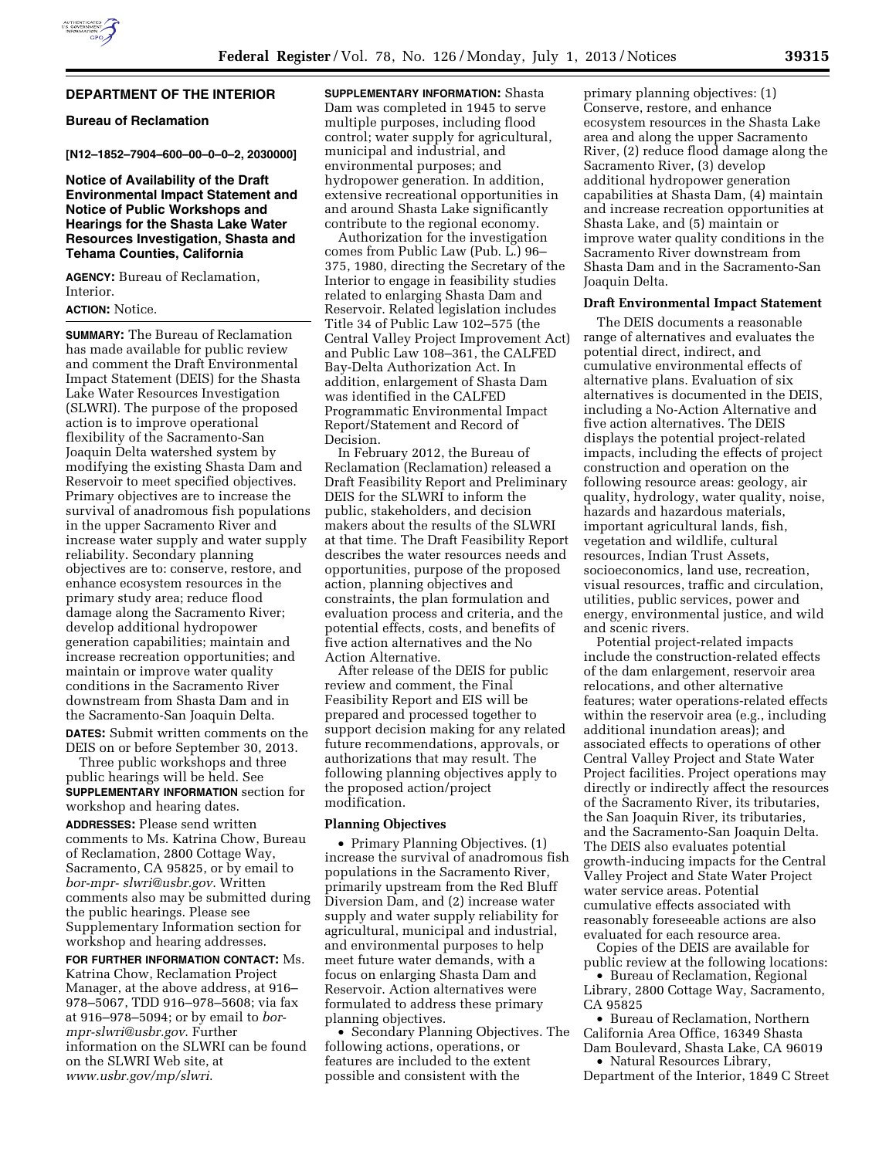## **DEPARTMENT OF THE INTERIOR**

## **Bureau of Reclamation**

**[N12–1852–7904–600–00–0–0–2, 2030000]** 

## **Notice of Availability of the Draft Environmental Impact Statement and Notice of Public Workshops and Hearings for the Shasta Lake Water Resources Investigation, Shasta and Tehama Counties, California**

**AGENCY:** Bureau of Reclamation, Interior.

#### **ACTION:** Notice.

**SUMMARY:** The Bureau of Reclamation has made available for public review and comment the Draft Environmental Impact Statement (DEIS) for the Shasta Lake Water Resources Investigation (SLWRI). The purpose of the proposed action is to improve operational flexibility of the Sacramento-San Joaquin Delta watershed system by modifying the existing Shasta Dam and Reservoir to meet specified objectives. Primary objectives are to increase the survival of anadromous fish populations in the upper Sacramento River and increase water supply and water supply reliability. Secondary planning objectives are to: conserve, restore, and enhance ecosystem resources in the primary study area; reduce flood damage along the Sacramento River; develop additional hydropower generation capabilities; maintain and increase recreation opportunities; and maintain or improve water quality conditions in the Sacramento River downstream from Shasta Dam and in the Sacramento-San Joaquin Delta.

**DATES:** Submit written comments on the DEIS on or before September 30, 2013.

Three public workshops and three public hearings will be held. See **SUPPLEMENTARY INFORMATION** section for workshop and hearing dates.

**ADDRESSES:** Please send written comments to Ms. Katrina Chow, Bureau of Reclamation, 2800 Cottage Way, Sacramento, CA 95825, or by email to *[bor-mpr- slwri@usbr.gov](mailto:bor-mpr- slwri@usbr.gov)*. Written comments also may be submitted during the public hearings. Please see Supplementary Information section for workshop and hearing addresses.

**FOR FURTHER INFORMATION CONTACT:** Ms. Katrina Chow, Reclamation Project Manager, at the above address, at 916– 978–5067, TDD 916–978–5608; via fax at 916–978–5094; or by email to *[bor](mailto:bor-mpr-slwri@usbr.gov)[mpr-slwri@usbr.gov](mailto:bor-mpr-slwri@usbr.gov)*. Further information on the SLWRI can be found on the SLWRI Web site, at *[www.usbr.gov/mp/slwri](http://www.usbr.gov/mp/slwri)*.

**SUPPLEMENTARY INFORMATION:** Shasta Dam was completed in 1945 to serve multiple purposes, including flood control; water supply for agricultural, municipal and industrial, and environmental purposes; and hydropower generation. In addition, extensive recreational opportunities in and around Shasta Lake significantly contribute to the regional economy.

Authorization for the investigation comes from Public Law (Pub. L.) 96– 375, 1980, directing the Secretary of the Interior to engage in feasibility studies related to enlarging Shasta Dam and Reservoir. Related legislation includes Title 34 of Public Law 102–575 (the Central Valley Project Improvement Act) and Public Law 108–361, the CALFED Bay-Delta Authorization Act. In addition, enlargement of Shasta Dam was identified in the CALFED Programmatic Environmental Impact Report/Statement and Record of Decision.

In February 2012, the Bureau of Reclamation (Reclamation) released a Draft Feasibility Report and Preliminary DEIS for the SLWRI to inform the public, stakeholders, and decision makers about the results of the SLWRI at that time. The Draft Feasibility Report describes the water resources needs and opportunities, purpose of the proposed action, planning objectives and constraints, the plan formulation and evaluation process and criteria, and the potential effects, costs, and benefits of five action alternatives and the No Action Alternative.

After release of the DEIS for public review and comment, the Final Feasibility Report and EIS will be prepared and processed together to support decision making for any related future recommendations, approvals, or authorizations that may result. The following planning objectives apply to the proposed action/project modification.

#### **Planning Objectives**

• Primary Planning Objectives. (1) increase the survival of anadromous fish populations in the Sacramento River, primarily upstream from the Red Bluff Diversion Dam, and (2) increase water supply and water supply reliability for agricultural, municipal and industrial, and environmental purposes to help meet future water demands, with a focus on enlarging Shasta Dam and Reservoir. Action alternatives were formulated to address these primary planning objectives.

• Secondary Planning Objectives. The following actions, operations, or features are included to the extent possible and consistent with the

primary planning objectives: (1) Conserve, restore, and enhance ecosystem resources in the Shasta Lake area and along the upper Sacramento River, (2) reduce flood damage along the Sacramento River, (3) develop additional hydropower generation capabilities at Shasta Dam, (4) maintain and increase recreation opportunities at Shasta Lake, and (5) maintain or improve water quality conditions in the Sacramento River downstream from Shasta Dam and in the Sacramento-San Joaquin Delta.

### **Draft Environmental Impact Statement**

The DEIS documents a reasonable range of alternatives and evaluates the potential direct, indirect, and cumulative environmental effects of alternative plans. Evaluation of six alternatives is documented in the DEIS, including a No-Action Alternative and five action alternatives. The DEIS displays the potential project-related impacts, including the effects of project construction and operation on the following resource areas: geology, air quality, hydrology, water quality, noise, hazards and hazardous materials, important agricultural lands, fish, vegetation and wildlife, cultural resources, Indian Trust Assets, socioeconomics, land use, recreation, visual resources, traffic and circulation, utilities, public services, power and energy, environmental justice, and wild and scenic rivers.

Potential project-related impacts include the construction-related effects of the dam enlargement, reservoir area relocations, and other alternative features; water operations-related effects within the reservoir area (e.g., including additional inundation areas); and associated effects to operations of other Central Valley Project and State Water Project facilities. Project operations may directly or indirectly affect the resources of the Sacramento River, its tributaries, the San Joaquin River, its tributaries, and the Sacramento-San Joaquin Delta. The DEIS also evaluates potential growth-inducing impacts for the Central Valley Project and State Water Project water service areas. Potential cumulative effects associated with reasonably foreseeable actions are also evaluated for each resource area.

Copies of the DEIS are available for public review at the following locations:

• Bureau of Reclamation, Regional Library, 2800 Cottage Way, Sacramento, CA 95825

• Bureau of Reclamation, Northern California Area Office, 16349 Shasta Dam Boulevard, Shasta Lake, CA 96019

• Natural Resources Library, Department of the Interior, 1849 C Street